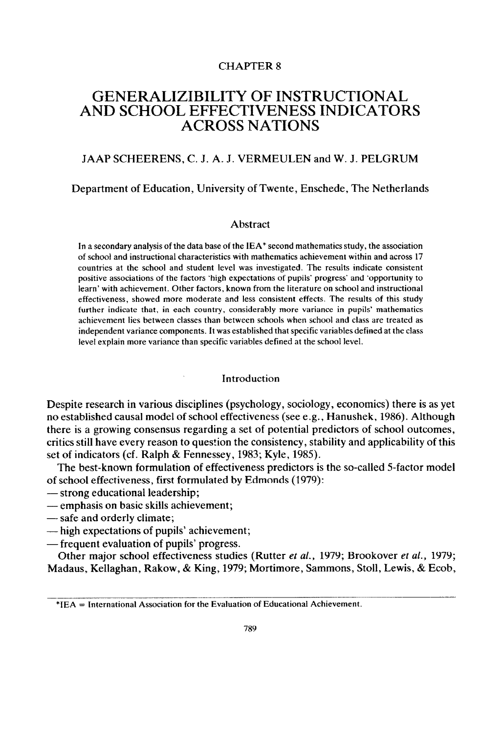#### CHAPTER 8

# **GENERALIZIBILITY OF INSTRUCTIONAL AND SCHOOL EFFECTIVENESS INDICATORS ACROSS NATIONS**

# JAAP SCHEERENS, C. J. A. J. VERMEULEN and W. J. PELGRUM

Department of Education, University of Twente, Enschede, The Netherlands

# Abstract

**In a secondary analysis of the data base of the IEA\* second mathematics study, the association of school and instructionnl characteristics with mathematics achievement within and across 17 countries at the school and student level was investigated. The results indicate consistent positive associations of the factors 'high expectations of pupils' progress' and 'opportunity to learn' with achievement. Other factors, known from the literature on school and instructional effectiveness, showed more moderate and less consistent effects. The results of this study further indicate that, in each country, considerably more variance in pupils' mathematics achievement lies between classes than between schools when school and class are treated as**  independent variance components. It was established that specific variables defined at the class **level explain more variance than specific variables defined at the school level.** 

#### Introduction

Despite research in various disciplines (psychology, sociology, economics) there is as yet no established causal model of school effectiveness (see e.g., Hanushek, 1986). Although there is a growing consensus regarding a set of potential predictors of school outcomes, critics still have every reason to question the consistency, stability and applicability of this set of indicators (cf. Ralph & Fennessey, 1983; Kyle, 1985).

The best-known formulation of effectiveness predictors is the so-called S-factor model of school effectiveness, first formulated by Edmonds (1979):

- $-$  strong educational leadership;
- -emphasis on basic skills achievement;
- safe and orderly climate;
- -high expectations of pupils' achievement;
- frequent evaluation of pupils' progress.

Other major school effectiveness studies (Rutter *et al.,* 1979; Brookover et al., 1979; Madaus, Kellaghan, Rakow, & King, 1979; Mortimore, Sammons, Stoll, Lewis, & Ecob,

**<sup>&#</sup>x27;IEA = International Association for the Evaluation of Educational Achievement.**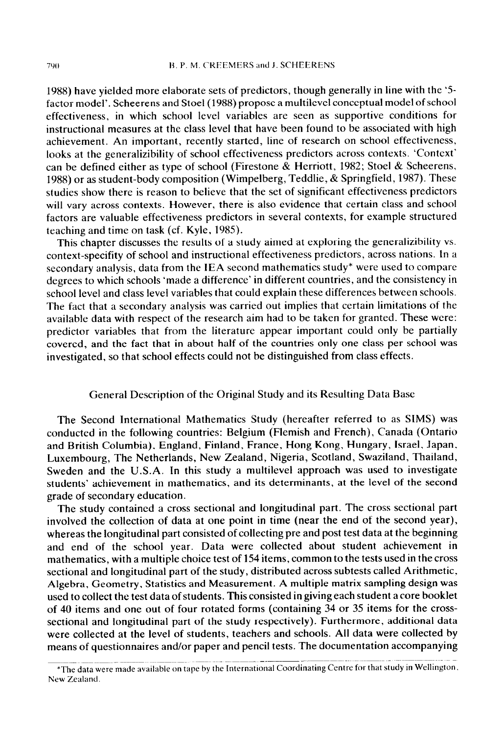1988) have yielded more elaborate sets of predictors, though generally in line with the '5 factor model'. Scheerens and Stoel (1988) propose a multilevel conceptual model of school effectiveness, in which school level variables are seen as supportive conditions for instructional measures at the class level that have been found to be associated with high achievement. An important, recently started, line of research on school effectiveness, looks at the generalizibility of school effectiveness predictors across contexts. 'Context' can be defined either as type of school (Firestone & Herriott, 1982; Stoel & Scheerens, 1988) or as student-body composition (Wimpelberg, Teddlie, & Springfield, 1987). These studies show there is reason to believe that the set of significant effectiveness predictors will vary across contexts. However, there is also evidence that certain class and school factors are valuable effectiveness predictors in several contexts, for example structured teaching and time on task (cf. Kyle, 1985).

This chapter discusses the results of a study aimed at exploring the generalizibility vs. context-specifity of school and instructional effectiveness predictors, across nations. ln a secondary analysis, data from the IEA second mathematics study\* were used to compare degrees to which schools 'made a difference' in different countries, and the consistency in school level and class level variables that could explain these differences between schools. The fact that a secondary analysis was carried out implies that certain limitations of the available data with respect of the research aim had to be taken for granted. These were: predictor variables that from the literature appear important could only be partially covered, and the fact that in about half of the countries only one class per school was investigated, so that school effects could not be distinguished from class effects.

#### General Description of the Original Study and its Resulting Data Base

The Second International Mathematics Study (hereafter referred to as SIMS) was conducted in the following countries: Belgium (Flemish and French), Canada (Ontario and British Columbia). England, Finland, France, Hong Kong, Hungary, Israel, Japan. Luxembourg, The Netherlands, New Zealand, Nigeria, Scotland, Swaziland, Thailand, Sweden and the U.S.A. In this study a multilevel approach was used to investigate students' achievement in mathematics, and its determinants, at the level of the second grade of secondary education.

The study contained a cross sectional and longitudinal part. The cross sectional part involved the collection of data at one point in time (near the end of the second year), whereas the longitudinal part consisted of collecting pre and post test data at the beginning and end of the school year. Data were collected about student achievement in mathematics, with a multiple choice test of 154 items, common to the tests used in the cross sectional and longitudinal part of the study, distributed across subtests called Arithmetic. Algebra, Geometry, Statistics and Measurement. A multiple matrix sampling design was used to collect the test data of students. This consisted in giving each student a core booklet of 40 items and one out of four rotated forms (containing 34 or 35 items for the crosssectional and longitudinal part of the study respectively). Furthermore, additional data were collected at the level of students, teachers and schools. All data were collected by means of questionnaires and/or paper and pencil tests. The documentation accompanying

<sup>&</sup>quot;The **data were made available on tape by the International Coordinating Centre for that study in Wellington. New Zealand.**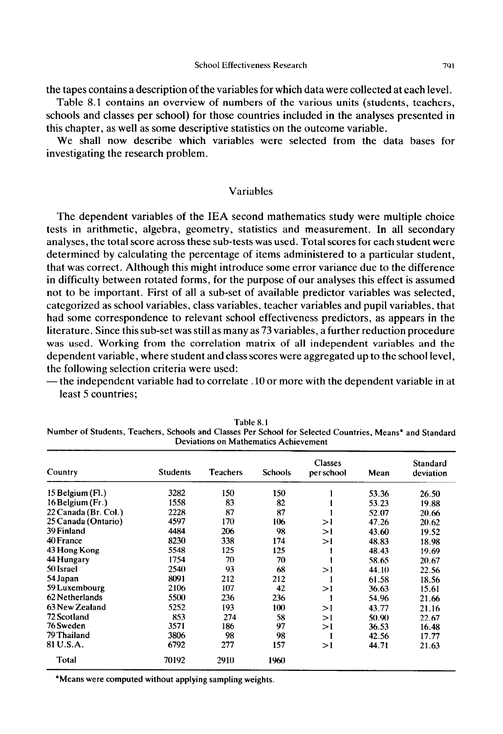the tapes contains a description of the variables for which data were collected at each level.

Table 8.1 contains an overview of numbers of the various units (students, teachers, schools and classes per school) for those countries included in the analyses presented in this chapter, as well as some descriptive statistics on the outcome variable.

We shall now describe which variables were selected from the data bases for investigating the research problem.

#### Variables

The dependent variables of the IEA second mathematics study were multiple choice tests in arithmetic, algebra, geometry, statistics and measurement. In all secondary analyses, the total score across these sub-tests was used. Total scores for each student were determined by calculating the percentage of items administered to a particular student, that was correct. Although this might introduce some error variance due to the difference in difficulty between rotated forms, for the purpose of our analyses this effect is assumed not to be important. First of all a sub-set of available predictor variables was selected, categorized as school variables, class variables, teacher variables and pupil variables, that had some correspondence to relevant school effectiveness predictors, as appears in the literature. Since this sub-set was still as many as 73 variables, a further reduction procedure was used. Working from the correlation matrix of all independent variables and the dependent variable, where student and class scores were aggregated up to the school level, the following selection criteria were used:

-the independent variable had to correlate .10 or more with the dependent variable in at least 5 countries;

| Country              | <b>Students</b> | <b>Teachers</b> | <b>Schools</b> | <b>Classes</b><br>per school | Mean  | <b>Standard</b><br>deviation |
|----------------------|-----------------|-----------------|----------------|------------------------------|-------|------------------------------|
| 15 Belgium (Fl.)     | 3282            | 150             | 150            |                              | 53.36 | 26.50                        |
| 16 Belgium (Fr.)     | 1558            | 83              | 82             |                              | 53.23 | 19.88                        |
| 22 Canada (Br. Col.) | 2228            | 87              | 87             |                              | 52.07 | 20.66                        |
| 25 Canada (Ontario)  | 4597            | 170             | 106            | >1                           | 47.26 | 20.62                        |
| 39 Finland           | 4484            | 206             | 98             | >1                           | 43.60 | 19.52                        |
| 40 France            | 8230            | 338             | 174            | >1                           | 48.83 | 18.98                        |
| 43 Hong Kong         | 5548            | 125             | 125            |                              | 48.43 | 19.69                        |
| 44 Hungary           | 1754            | 70              | 70             |                              | 58.65 | 20.67                        |
| 50 Israel            | 2540            | 93              | 68             | >1                           | 44.10 | 22.56                        |
| 54 Japan             | 8091            | 212             | 212            |                              | 61.58 | 18.56                        |
| 59 Luxembourg        | 2106            | 107             | 42             | >1                           | 36.63 | 15.61                        |
| 62 Netherlands       | 5500            | 236             | 236            |                              | 54.96 | 21.66                        |
| 63 New Zealand       | 5252            | 193             | 100            | >1                           | 43.77 | 21.16                        |
| 72 Scotland          | 853             | 274             | 58             | >1                           | 50.90 | 22.67                        |
| 76 Sweden            | 3571            | 186             | 97             | >1                           | 36.53 | 16.48                        |
| 79 Thailand          | 3806            | 98              | 98             |                              | 42.56 | 17.77                        |
| 81 U.S.A.            | 6792            | 277             | 157            | >1                           | 44.71 | 21.63                        |
| Total                | 70192           | 2910            | 1960           |                              |       |                              |

**Table 8.** I

**Number of Students, Teachers, Schools and Classes Per School for Selected Countries, Means\* and Standard Deviations on Mathematics Achievement** 

**\*Means were computed without applying sampling weights.**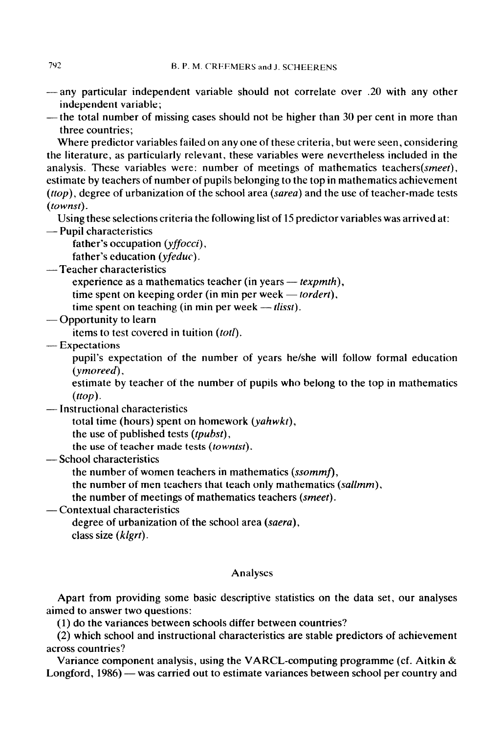- -any particular independent variable should not correlate over .20 with any other independent variable;
- the total number of missing cases should not be higher than 30 per cent in more than three countries;

Where predictor variables failed on any one of these criteria, but were seen, considering the literature, as particularly relevant, these variables were nevertheless included in the analysis. These variables were: number of meetings of mathematics teachers(smeet), estimate by teachers of number of pupils belonging to the top in mathematics achievement (ttop), degree of urbanization of the school area (sarea) and the use of teacher-made tests (townst).

Using these selections criteria the following list of I5 predictor variables was arrived at: - Pupil characteristics

father's occupation *(yffocci),* 

father's education (yfeduc).

-Teacher characteristics

experience as a mathematics teacher (in years  $-$  *texpmth*),

time spent on keeping order (in min per week  $-$ tordert).

time spent on teaching (in min per week  $-$  tlisst).

 $-$ Opportunity to learn

items to test covered in tuition (totl).

 $-$ Expectations

pupil's expectation of the number of years he/she will follow formal education (ymoreed),

estimate by teacher of the number of pupils who belong to the top in mathematics  $(ttop)$ .

-Instructional characteristics

total time (hours) spent on homework (yahwkt),

the use of published tests (tpubst),

the use of teacher made tests (fowntst).

-School characteristics

the number of women teachers in mathematics (ssommf),

the number of men teachers that teach only mathematics (sallmm),

the number of meetings of mathematics teachers (smeet).

-Contextual characteristics

degree of urbanization of the school area *(saeru),*  class size  $(k\ell qrt)$ .

#### Analyses

Apart from providing some basic descriptive statistics on the data set, our analyses aimed to answer two questions:

(1) do the variances between schools differ between countries?

(2) which school and instructional characteristics are stable predictors of achievement across countries?

Variance component analysis, using the VARCL-computing programme (cf. Aitkin  $\&$ Longford, 1986) — was carried out to estimate variances between school per country and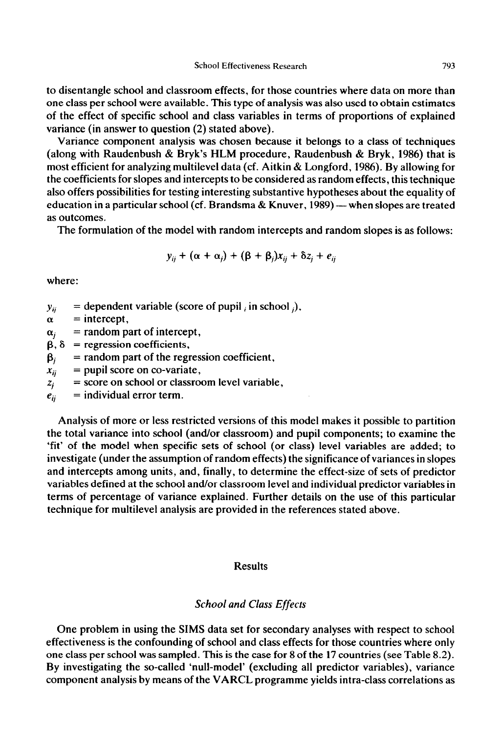to disentangle school and classroom effects, for those countries where data on more than one class per school were available. This type of analysis was also used to obtain estimates of the effect of specific school and class variables in terms of proportions of explained variance (in answer to question (2) stated above).

Variance component analysis was chosen because it belongs to a class of techniques (along with Raudenbush & Bryk's HLM procedure, Raudenbush & Bryk, 1986) that is most efficient for analyzing multilevel data (cf. Aitkin & Longford, 1986). By allowing for the coefficients for slopes and intercepts to be considered as random effects, this technique also offers possibilities for testing interesting substantive hypotheses about the equality of education in a particular school (cf. Brandsma  $\&$  Knuver, 1989) — when slopes are treated as outcomes.

The formulation of the model with random intercepts and random slopes is as follows:

$$
y_{ij} + (\alpha + \alpha_j) + (\beta + \beta_j)x_{ij} + \delta z_i + e_{ij}
$$

### where:

 $y_{ii}$  = dependent variable (score of pupil *i* in school *j*),

 $\alpha$  = intercept,

 $\alpha_i$  = random part of intercept,

 $\beta$ ,  $\delta$  = regression coefficients,

 $\beta_j$  = random part of the regression coefficient,<br>  $x_{ij}$  = pupil score on co-variate,

 $=$  pupil score on co-variate,

 $z_j$  = score on school or classroom level variable,<br> $e_{ij}$  = individual error term.

 $=$  *individual error term.* 

Analysis of more or less restricted versions of this model makes it possible to partition the total variance into school (and/or classroom) and pupil components; to examine the 'fit' of the model when specific sets of school (or class) level variables are added; to investigate (under the assumption of random effects) the significance of variances in slopes and intercepts among units, and, finally, to determine the effect-size of sets of predictor variables defined at the school and/or classroom level and individual predictor variables in terms of percentage of variance explained. Further details on the use of this particular technique for multilevel analysis are provided in the references stated above.

#### Results

### *School and Class Effects*

One problem in using the SIMS data set for secondary analyses with respect to school effectiveness is the confounding of school and class effects for those countries where only one class per school was sampled. This is the case for 8 of the 17 countries (see Table 8.2). By investigating the so-called 'null-model' (excluding all predictor variables), variance component analysis by means of the VARCL programme yields intra-class correlations as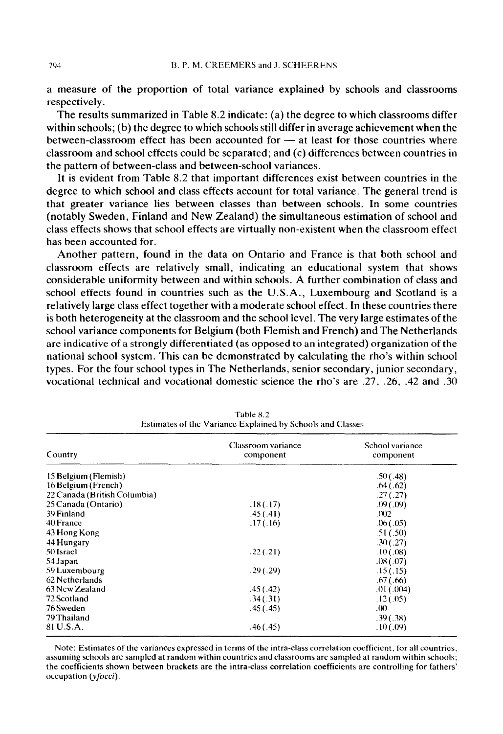a measure of the proportion of total variance explained by schools and classrooms respectively.

The results summarized in Table 8.2 indicate: (a) the degree to which classrooms differ within schools; (b) the degree to which schools still differ in average achievement when the between-classroom effect has been accounted for  $-$  at least for those countries where classroom and school effects could be separated; and (c) differences between countries in the pattern of between-class and between-school variances.

It is evident from Table 8.2 that important differences exist between countries in the degree to which school and class effects account for total variance. The general trend is that greater variance lies between classes than between schools. In some countries (notably Sweden, Finland and New Zealand) the simultaneous estimation of school and class effects shows that school effects are virtually non-existent when the classroom effect has been accounted for.

Another pattern, found in the data on Ontario and France is that both school and classroom effects are relatively small, indicating an educational system that shows considerable uniformity between and within schools. A further combination of class and school effects found in countries such as the U.S.A., Luxembourg and Scotland is a relatively large class effect together with a moderate school effect. In these countries there is both heterogeneity at the classroom and the school level. The very large estimates of the school variance components for Belgium (both Flemish and French) and The Netherlands are indicative of a strongly differentiated (as opposed to an integrated) organization of the national school system. This can be demonstrated by calculating the rho's within school types. For the four school types in The Netherlands, senior secondary, junior secondary, vocational technical and vocational domestic science the rho's are .27, .26, .42 and .30

| Country                      | Classroom variance<br>component | School variance<br>component |
|------------------------------|---------------------------------|------------------------------|
| 15 Belgium (Flemish)         |                                 | .50(0.48)                    |
| 16 Belgium (French)          |                                 | .64(.62)                     |
| 22 Canada (British Columbia) |                                 | .27(.27)                     |
| 25 Canada (Ontario)          | .18(.17)                        | .09(.09)                     |
| 39 Finland                   | .45(.41)                        | .002                         |
| 40 France                    | .17(.16)                        | .06(0.05)                    |
| 43 Hong Kong                 |                                 | .51(.50)                     |
| 44 Hungary                   |                                 | .30(.27)                     |
| 50 Israel                    | .22(.21)                        | .10(0.08)                    |
| 54 Japan                     |                                 | .08(.07)                     |
| 59 Luxembourg                | .29(.29)                        | .15(.15)                     |
| 62 Netherlands               |                                 | .67(.66)                     |
| 63 New Zealand               | .45(.42)                        | .01 (.004)                   |
| 72 Scotland                  | .34(.31)                        | .12(.05)                     |
| 76 Sweden                    | .45(.45)                        | 00.                          |
| 79 Thailand                  |                                 | .39(.38)                     |
| 81 U.S.A.                    | 46(.45)                         | .10(.09)                     |

**Table X.2 Estimates of the Variance Explained by Schools and Classes** 

**Note: Estimates of the variances expressed in terms of the intra-class correlation coefficient. for all countries. assuming schools are sampled at random within countries and classrooms are sampled at random within schools; the coefficients shown between brackets are the intra-class correlation coefficients are controlling for fathers' occupation** (*yfocci*).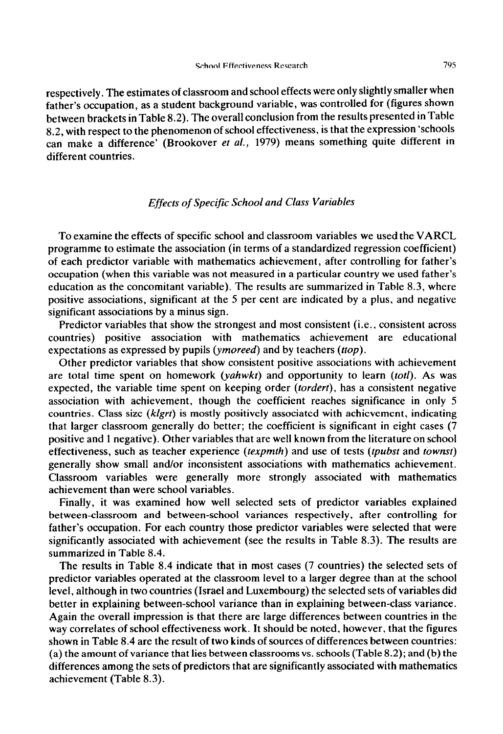respectively. The estimates of classroom and school effects were only slightly smaller when father's occupation, as a student background variable, was controlled for (figures shown between brackets in Table 8.2). The overall conclusion from the results presented in Table 8.2, with respect to the phenomenon of school effectiveness, is that the expression 'schools can make a difference' (Brookover et al., 1979) means something quite different in different countries.

# *Effects of Specific School and Class Variables*

To examine the effects of specific school and classroom variables we used the VARCL programme to estimate the association (in terms of a standardized regression coefficient) of each predictor variable with mathematics achievement, after controlling for father's occupation (when this variable was not measured in a particular country we used father's education as the concomitant variable). The results are summarized in Table 8.3, where positive associations, significant at the 5 per cent are indicated by a plus, and negative significant associations by a minus sign.

Predictor variables that show the strongest and most consistent (i.e., consistent across countries) positive association with mathematics achievement are educational expectations as expressed by pupils *(ymoreed)* and by teachers *(flop).* 

Other predictor variables that show consistent positive associations with achievement are total time spent on homework *(vahwkt)* and opportunity to learn *(totl)*. As was expected, the variable time spent on keeping order *(tordert),* has a consistent negative association with achievement, though the coefficient reaches significance in only 5 countries. Class size *(klgrt)* is mostly positively associated with achievement, indicating that larger classroom generally do better; the coefficient is significant in eight cases (7 positive and 1 negative). Other variables that are well known from the literature on school effectiveness, such as teacher experience *(texpmrh)* and use of tests *(tpubst* and townst) generally show small and/or inconsistent associations with mathematics achievement. Classroom variables were generally more strongly associated with mathematics achievement than were school variables.

Finally, it was examined how well selected sets of predictor variables explained between-classroom and between-school variances respectively, after controlling for father's occupation. For each country those predictor variables were selected that were significantly associated with achievement (see the results in Table 8.3). The results are summarized in Table 8.4.

The results in Table 8.4 indicate that in most cases (7 countries) the selected sets of predictor variables operated at the classroom level to a larger degree than at the school level, although in two countries (Israel and Luxembourg) the selected sets of variables did better in explaining between-school variance than in explaining between-class variance. Again the overall impression is that there are large differences between countries in the way correlates of school effectiveness work. It should be noted, however, that the figures shown in Table 8.4 are the result of two kinds of sources of differences between countries: (a) the amount of variance that lies between classrooms vs. schools (Table 8.2); and (b) the differences among the sets of predictors that are significantly associated with mathematics achievement (Table 8.3).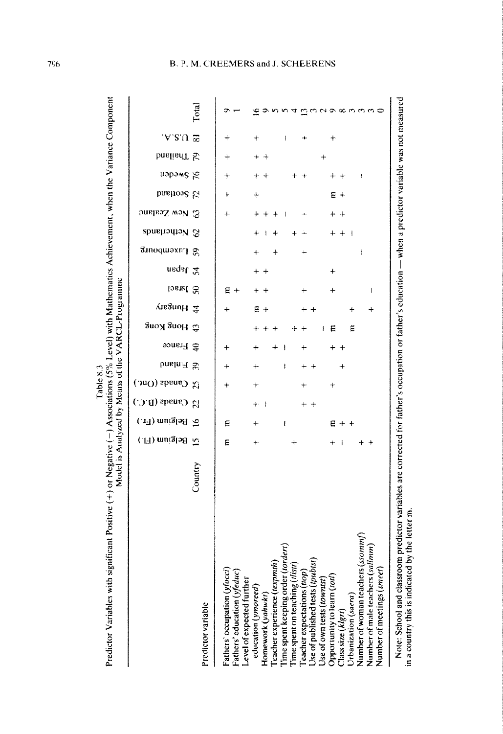| bnslisdT &<br>$\ddot{}$<br>┿<br>s Sweden<br>ł<br>+<br><b>Drettool</b> Scotland<br>ε<br>$\div$<br>┾<br>÷<br><b>S</b> New Zealand<br>$^+$<br>┿<br>┿<br><b>Netherlands</b><br>$\ddot{}$<br>$\,^+$<br><b>Sunodmaxu.</b> S<br>ł<br>magel 2<br><b>S</b> Israel<br>Ε<br>$^{+}$<br>$\,{}^+$<br>$\ddag$<br>I<br>tngnuH 2<br>ε<br>$\,{}^+$<br>$\,{}^+$<br>SnoX gnoH ဆို<br>Ε<br>Ε<br>i<br>S France<br>bnslni <sup>7</sup> S<br>$\,$<br>ł<br>Si Canada (Ont.)<br>+<br>$\ddag$<br>Canada (B.C.)<br>$\mathbb{Z}$<br>+<br>+<br>Belgium (Fr.)<br>$\overline{1}$<br>ε<br>ļ<br>ε<br>+<br>+<br>Belgium (FL)<br>$\overline{2}$<br>ε<br>ı<br>┿<br>Country<br>Number of woman teachers (ssommf)<br>Teacher experience (texpmth)<br>Time spent keeping order (tordert)<br>Number of male teachers (sallmm)<br>Use of published tests (tpubtst)<br>Use of own tests (towntst)<br>Time spent on teaching ( <i>tlistt</i> )<br>Fathers' occupation (yfocci<br>Fathers' education (yfeduc<br>Teacher expectations (ttop)<br>Opportunity to learn ( <i>tott</i> )<br>Class size ( <i>klgrt</i> )<br>Level of expected further<br>education ( <i>ymoreed</i> )<br>Homework (yahwkt)<br>Urbanization (saera)<br>Predictor variable | Predictor Variables with significant Positive $(+)$ or Negative $(-)$ Associations (5% Level) with Mathematics Achievement, when the Variance Component | Model is Analyzed by Means of the VARCL-Programme |  |  |  |  |  |  |  |                 |                          |
|-------------------------------------------------------------------------------------------------------------------------------------------------------------------------------------------------------------------------------------------------------------------------------------------------------------------------------------------------------------------------------------------------------------------------------------------------------------------------------------------------------------------------------------------------------------------------------------------------------------------------------------------------------------------------------------------------------------------------------------------------------------------------------------------------------------------------------------------------------------------------------------------------------------------------------------------------------------------------------------------------------------------------------------------------------------------------------------------------------------------------------------------------------------------------------------------------------|---------------------------------------------------------------------------------------------------------------------------------------------------------|---------------------------------------------------|--|--|--|--|--|--|--|-----------------|--------------------------|
|                                                                                                                                                                                                                                                                                                                                                                                                                                                                                                                                                                                                                                                                                                                                                                                                                                                                                                                                                                                                                                                                                                                                                                                                       |                                                                                                                                                         |                                                   |  |  |  |  |  |  |  | $V.S. U \ncong$ |                          |
|                                                                                                                                                                                                                                                                                                                                                                                                                                                                                                                                                                                                                                                                                                                                                                                                                                                                                                                                                                                                                                                                                                                                                                                                       |                                                                                                                                                         |                                                   |  |  |  |  |  |  |  |                 | Total                    |
|                                                                                                                                                                                                                                                                                                                                                                                                                                                                                                                                                                                                                                                                                                                                                                                                                                                                                                                                                                                                                                                                                                                                                                                                       |                                                                                                                                                         |                                                   |  |  |  |  |  |  |  | +               |                          |
|                                                                                                                                                                                                                                                                                                                                                                                                                                                                                                                                                                                                                                                                                                                                                                                                                                                                                                                                                                                                                                                                                                                                                                                                       |                                                                                                                                                         |                                                   |  |  |  |  |  |  |  | +               |                          |
|                                                                                                                                                                                                                                                                                                                                                                                                                                                                                                                                                                                                                                                                                                                                                                                                                                                                                                                                                                                                                                                                                                                                                                                                       |                                                                                                                                                         |                                                   |  |  |  |  |  |  |  |                 |                          |
|                                                                                                                                                                                                                                                                                                                                                                                                                                                                                                                                                                                                                                                                                                                                                                                                                                                                                                                                                                                                                                                                                                                                                                                                       |                                                                                                                                                         |                                                   |  |  |  |  |  |  |  |                 |                          |
|                                                                                                                                                                                                                                                                                                                                                                                                                                                                                                                                                                                                                                                                                                                                                                                                                                                                                                                                                                                                                                                                                                                                                                                                       |                                                                                                                                                         |                                                   |  |  |  |  |  |  |  | ł               | n                        |
|                                                                                                                                                                                                                                                                                                                                                                                                                                                                                                                                                                                                                                                                                                                                                                                                                                                                                                                                                                                                                                                                                                                                                                                                       |                                                                                                                                                         |                                                   |  |  |  |  |  |  |  |                 |                          |
|                                                                                                                                                                                                                                                                                                                                                                                                                                                                                                                                                                                                                                                                                                                                                                                                                                                                                                                                                                                                                                                                                                                                                                                                       |                                                                                                                                                         |                                                   |  |  |  |  |  |  |  |                 | G                        |
|                                                                                                                                                                                                                                                                                                                                                                                                                                                                                                                                                                                                                                                                                                                                                                                                                                                                                                                                                                                                                                                                                                                                                                                                       |                                                                                                                                                         |                                                   |  |  |  |  |  |  |  |                 | muo                      |
|                                                                                                                                                                                                                                                                                                                                                                                                                                                                                                                                                                                                                                                                                                                                                                                                                                                                                                                                                                                                                                                                                                                                                                                                       |                                                                                                                                                         |                                                   |  |  |  |  |  |  |  |                 |                          |
|                                                                                                                                                                                                                                                                                                                                                                                                                                                                                                                                                                                                                                                                                                                                                                                                                                                                                                                                                                                                                                                                                                                                                                                                       |                                                                                                                                                         |                                                   |  |  |  |  |  |  |  |                 |                          |
|                                                                                                                                                                                                                                                                                                                                                                                                                                                                                                                                                                                                                                                                                                                                                                                                                                                                                                                                                                                                                                                                                                                                                                                                       |                                                                                                                                                         |                                                   |  |  |  |  |  |  |  |                 |                          |
|                                                                                                                                                                                                                                                                                                                                                                                                                                                                                                                                                                                                                                                                                                                                                                                                                                                                                                                                                                                                                                                                                                                                                                                                       |                                                                                                                                                         |                                                   |  |  |  |  |  |  |  |                 |                          |
|                                                                                                                                                                                                                                                                                                                                                                                                                                                                                                                                                                                                                                                                                                                                                                                                                                                                                                                                                                                                                                                                                                                                                                                                       |                                                                                                                                                         |                                                   |  |  |  |  |  |  |  |                 | $\infty$ m m m $\subset$ |
| Number of meetings (smeet                                                                                                                                                                                                                                                                                                                                                                                                                                                                                                                                                                                                                                                                                                                                                                                                                                                                                                                                                                                                                                                                                                                                                                             |                                                                                                                                                         |                                                   |  |  |  |  |  |  |  |                 |                          |

**Note: School and classroom predictor variables are corrected for father's occupation or father's education -when a predictor variable was not measured**   $\frac{1}{2}$ in a country this is indicated by the letter m. **in a country this is indicated by the letter m.** 

# B. P. M. CREEMERS and J. SCHEERENS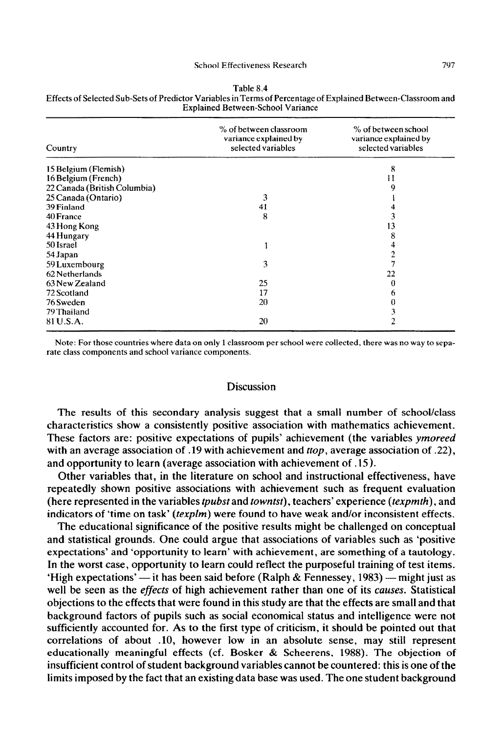#### School Effectiveness Research 797

| Country                      | % of between classroom<br>variance explained by<br>selected variables | % of between school<br>variance explained by<br>selected variables |
|------------------------------|-----------------------------------------------------------------------|--------------------------------------------------------------------|
| 15 Belgium (Flemish)         |                                                                       | 8                                                                  |
| 16 Belgium (French)          |                                                                       | 11                                                                 |
| 22 Canada (British Columbia) |                                                                       | Q                                                                  |
| 25 Canada (Ontario)          | 3                                                                     |                                                                    |
| 39 Finland                   | 41                                                                    |                                                                    |
| 40 France                    | 8                                                                     |                                                                    |
| 43 Hong Kong                 |                                                                       | 13                                                                 |
| 44 Hungary                   |                                                                       | 8                                                                  |
| 50 Israel                    |                                                                       |                                                                    |
| 54 Japan                     |                                                                       |                                                                    |
| 59 Luxembourg                | 3                                                                     |                                                                    |
| 62 Netherlands               |                                                                       | 22                                                                 |
| 63 New Zealand               | 25                                                                    |                                                                    |
| 72 Scotland                  | 17                                                                    | o                                                                  |
| 76 Sweden                    | 20                                                                    | 0                                                                  |
| 79 Thailand                  |                                                                       |                                                                    |
| 81 U.S.A.                    | 20                                                                    | 2                                                                  |

#### Table 8.4 Effects of Selected Sub-Sets of Predictor Variables in Terms of Percentage of Explained Between-Classroom and Explained Between-School Variance

Note: For those countries where data on only 1 classroom per school were collected. there was no way to separate class components and school variance components.

#### Discussion

The results of this secondary analysis suggest that a small number of school/class characteristics show a consistently positive association with mathematics achievement. These factors are: positive expectations of pupils' achievement (the variables *ymoreed* with an average association of .19 with achievement and  $ttop$ , average association of .22), and opportunity to learn (average association with achievement of. 15).

Other variables that, in the literature on school and instructional effectiveness, have repeatedly shown positive associations with achievement such as frequent evaluation (here represented in the variables *toubst* and *towntst*), teachers' experience (*texpmth*), and indicators of 'time on task' (texplm) were found to have weak and/or inconsistent effects.

The educational significance of the positive results might be challenged on conceptual and statistical grounds. One could argue that associations of variables such as 'positive expectations' and 'opportunity to learn' with achievement, are something of a tautology. In the worst case, opportunity to learn could reflect the purposeful training of test items. 'High expectations'  $-$  it has been said before (Ralph & Fennessey, 1983)  $-$  might just as well be seen as the *effects* of high achievement rather than one of its *causes*. Statistical objections to the effects that were found in this study are that the effects are small and that background factors of pupils such as social economical status and intelligence were not sufficiently accounted for. As to the first type of criticism, it should be pointed out that correlations of about .lO, however low in an absolute sense, may still represent educationally meaningful effects (cf. Bosker & Scheerens, 1988). The objection of insufficient control of student background variables cannot be countered: this is one of the limits imposed by the fact that an existing data base was used. The one student background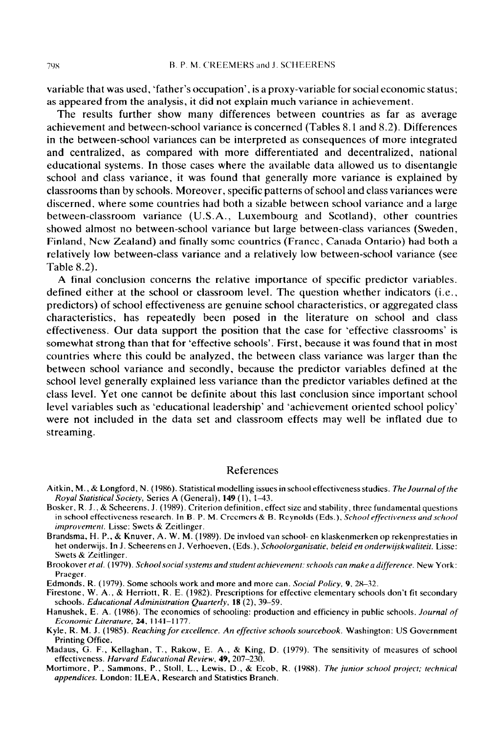variable that was used, 'father's occupation', is a proxy-variable for social economic status; as appeared from the analysis, it did not explain much variance in achievement.

The results further show many differences between countries as far as average achievement and between-school variance is concerned (Tables 8.1 and 8.2). Differences in the between-school variances can be interpreted as consequences of more integrated and centralized, as compared with more differentiated and decentralized, national educational systems. In those cases where the available data allowed us to disentangle school and class variance, it was found that generally more variance is explained by classrooms than by schools. Moreover, specific patterns of school and class variances were discerned, where some countries had both a sizable between **school variance** and a large between-classroom variance (U.S.A., Luxembourg and Scotland), other countries showed almost no between-school variance but large between-class variances (Sweden, Finland, New Zealand) and finally some countries *(France,* Canada Ontario) had both a relatively low between-class variance and a relatively low between-school variance (see Table 8.2).

A final conclusion concerns the relative importance of specific predictor variables. defined either at the school or classroom level. The question whether indicators (i.e., predictors) of school effectiveness are genuine school characteristics, or aggregated class characteristics, has repeatedly been posed in the literature on school and class effectiveness. Our data support the position that the case for 'effective classrooms' is somewhat strong than that for 'effective schools'. First, because it was found that in most countries where this could be analyzed, the between class variance was larger than the between school variance and secondly, because the predictor variables defined at the school level generally explained less variance than the predictor variables defined at the class level. Yet one cannot be definite about this last conclusion since important school level variables such as 'educational leadership' and 'achievement oriented school policy' were not included in the data set and classroom effects may well be inflated due to streaming.

#### References

- Aitkin, M., & Longford, N. (1986). Statistical modelling issues in school effectiveness studies. The Journal of the *Royal Statisfical Society,* **Series A (General), 149 (1). t-43.**
- **Bosker, R. J., & Scheerens. J. (1989). Criterion definition, effect size and stability, three fundamental questions in school effectiveness research. In B. P. M. Creemers & B. Reynolds (Eds.), School effectiveness** *and school improvemenl.* **Lisse: Swets & Zeitlinger.**
- Brandsma, H. P., & Knuver, A. W. M. (1989). De invloed van school- en klaskenmerken op rekenprestaties in het onderwijs. In J. Scheerens en J. Verhoeven, (Eds.), *Schoolorganisatie*, beleid en onderwijskwaliteit. Lisse: **Swets & Zeitlinger.**
- Brookover *et al.* (1979). *School social systems and student achievement: schools can make a difference. New York:* **Praeger.**
- **Edmonds, R. (1979). Some schools work and more and more can.** *Social Policy, 9, 28-32.*
- **Firestone, W. A., & Herriott, R. E. (1982). Prescriptions for effective elementary schools don't fit secondary schools.** *Educational Adminisrration Quarterly, 18 (2), 39-59.*
- Hanushek, E. A. (1986). The economics of schooling: production and efficiency in public schools. *Journal of Economic Literature. 24.* **1141-l 177.**
- **Kyle. R. M. J. (1985).** *Reaching for excellence. An effective schools sourcebook.* **Washington: US Government Printing Office.**
- Madaus, G. F., Kellaghan, T., Rakow, E. A., & King, D. (1979). The sensitivity of measures of school **effectiveness.** *Harvard Educational Review, 49,207-230.*
- **Mortimore. P., Sammons. P., Stall, L.. Lewis. D., & Ecob, R. (19X8).** *The junior school project; technical appendices.* **London: ILEA, Research and Statistics Branch.**